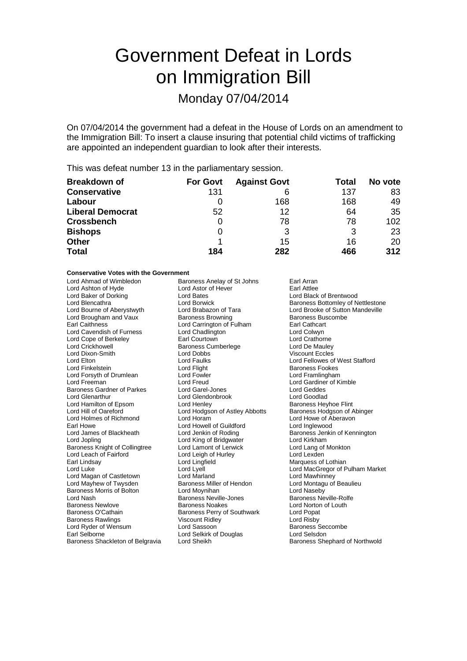# Government Defeat in Lords on Immigration Bill

## Monday 07/04/2014

On 07/04/2014 the government had a defeat in the House of Lords on an amendment to the Immigration Bill: To insert a clause insuring that potential child victims of trafficking are appointed an independent guardian to look after their interests.

This was defeat number 13 in the parliamentary session.

| <b>Breakdown of</b>     | <b>For Govt</b> | <b>Against Govt</b> | Total | No vote |
|-------------------------|-----------------|---------------------|-------|---------|
| <b>Conservative</b>     | 131             |                     | 137   | 83      |
| Labour                  |                 | 168                 | 168   | 49      |
| <b>Liberal Democrat</b> | 52              | 12                  | 64    | 35      |
| <b>Crossbench</b>       | 0               | 78                  | 78    | 102     |
| <b>Bishops</b>          | 0               | 3                   | 3     | 23      |
| <b>Other</b>            |                 | 15                  | 16    | 20      |
| <b>Total</b>            | 184             | 282                 | 466   | 312     |

#### **Conservative Votes with the Government**

| Lord Ahmad of Wimbledon          | Baroness Anelay of St Johns    | Earl Arran                        |
|----------------------------------|--------------------------------|-----------------------------------|
| Lord Ashton of Hyde              | Lord Astor of Hever            | Earl Attlee                       |
| Lord Baker of Dorking            | Lord Bates                     | Lord Black of Brentwood           |
| Lord Blencathra                  | Lord Borwick                   | Baroness Bottomley of Nettlestone |
| Lord Bourne of Aberystwyth       | Lord Brabazon of Tara          | Lord Brooke of Sutton Mandeville  |
| Lord Brougham and Vaux           | <b>Baroness Browning</b>       | Baroness Buscombe                 |
| <b>Earl Caithness</b>            | Lord Carrington of Fulham      | Earl Cathcart                     |
| Lord Cavendish of Furness        | Lord Chadlington               | Lord Colwyn                       |
| Lord Cope of Berkeley            | Earl Courtown                  | <b>Lord Crathorne</b>             |
| <b>Lord Crickhowell</b>          | Baroness Cumberlege            | Lord De Mauley                    |
| Lord Dixon-Smith                 | Lord Dobbs                     | <b>Viscount Eccles</b>            |
| Lord Elton                       | Lord Faulks                    | Lord Fellowes of West Stafford    |
| Lord Finkelstein                 | Lord Flight                    | <b>Baroness Fookes</b>            |
| Lord Forsyth of Drumlean         | Lord Fowler                    | Lord Framlingham                  |
| Lord Freeman                     | Lord Freud                     | Lord Gardiner of Kimble           |
| Baroness Gardner of Parkes       | Lord Garel-Jones               | Lord Geddes                       |
| Lord Glenarthur                  | Lord Glendonbrook              | Lord Goodlad                      |
| Lord Hamilton of Epsom           | Lord Henley                    | <b>Baroness Heyhoe Flint</b>      |
| Lord Hill of Oareford            | Lord Hodgson of Astley Abbotts | Baroness Hodgson of Abinger       |
| Lord Holmes of Richmond          | Lord Horam                     | Lord Howe of Aberavon             |
| Earl Howe                        | Lord Howell of Guildford       | Lord Inglewood                    |
| Lord James of Blackheath         | Lord Jenkin of Roding          | Baroness Jenkin of Kennington     |
| Lord Jopling                     | Lord King of Bridgwater        | Lord Kirkham                      |
| Baroness Knight of Collingtree   | Lord Lamont of Lerwick         | Lord Lang of Monkton              |
| Lord Leach of Fairford           | Lord Leigh of Hurley           | Lord Lexden                       |
| Earl Lindsay                     | Lord Lingfield                 | Marquess of Lothian               |
| Lord Luke                        | Lord Lyell                     | Lord MacGregor of Pulham Market   |
| Lord Magan of Castletown         | Lord Marland                   | Lord Mawhinney                    |
| Lord Mayhew of Twysden           | Baroness Miller of Hendon      | Lord Montagu of Beaulieu          |
| Baroness Morris of Bolton        | Lord Moynihan                  | Lord Naseby                       |
| Lord Nash                        | <b>Baroness Neville-Jones</b>  | <b>Baroness Neville-Rolfe</b>     |
| <b>Baroness Newlove</b>          | <b>Baroness Noakes</b>         | Lord Norton of Louth              |
| Baroness O'Cathain               | Baroness Perry of Southwark    | Lord Popat                        |
| <b>Baroness Rawlings</b>         | <b>Viscount Ridley</b>         | Lord Risby                        |
| Lord Ryder of Wensum             | Lord Sassoon                   | <b>Baroness Seccombe</b>          |
| Earl Selborne                    | Lord Selkirk of Douglas        | Lord Selsdon                      |
| Baroness Shackleton of Belgravia | Lord Sheikh                    | Baroness Shephard of Northwold    |
|                                  |                                |                                   |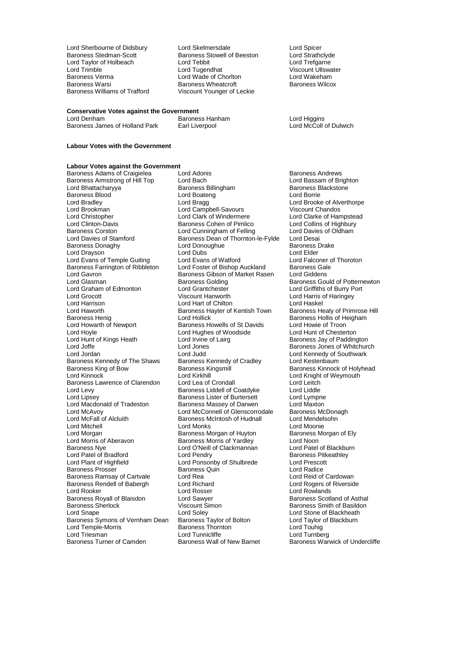Lord Sherbourne of Didsbury Lord Skelmersdale **Lord Sherbourne Schemers Cord Stelmers** Lord Strathclyde Baroness Stowell of Beeston Lord Strathclyde Lord Taylor of Holbeach Lord Tebbit<br>
Lord Trimble Cord Tugendhat Lord Trimble Lord Tugendhat Corporation Corporation Corporation Corporation Corporation Corporation Corporation<br>
Lord Wade of Choriton Corporation Lord Wakeham Baroness Verma Lord Wade of Chorlton Lord Wakeham Baroness Warsi **Baroness Wheatcroft**<br>Baroness Williams of Trafford **Baroness Wheatcroft** 

Baroness Stowell of Beeston Lord Strathclyd<br>
Lord Tebbit Lord Trefaarne Viscount Younger of Leckie

### **Conservative Votes against the Government**

Baroness James of Holland Park

#### **Labour Votes with the Government**

#### **Labour Votes against the Government**<br>Baroness Adams of Craigielea **Lord Adonis**

Baroness Blood Control Lord Boateng<br>
Lord Bradley Control Lord Bragg Lord Brookman Lord Campbell-Savours<br>
Lord Christopher Lord Clark of Windermere Lord Gavron **Carolic Communist Constructs Baroness Gibson of Market Rasen**<br>
Baroness Golding<br> **Baroness Golding** Lord Graham of Edmonton Lord Grantchester<br>
Lord Grocott Corp Viscount Hanworth Lord Haworth **Baroness Hayter of Kentish Town**<br>Baroness Henig **Barones Hollick** Lord Hollick Lord Hoyle<br>
Lord Hunt of Kings Heath Lord Irvine of Lairg<br>
Lord Irvine of Lairg Baroness Kennedy of The Shaws Baroness Kennedy<br>Baroness King of Bow Baroness Kingsmill Lord McFall of Alcluith Baroness McIntosh of Hudnall<br>
Lord Mitchell<br>
Lord Monks Baroness Nye **Lord O'Neill of Clackmannan**<br>
Lord Patel of Bradford **Lord Pendry** Baroness Rendell of Babergh Lord Richard<br>Lord Rooker Lord Rosser Baroness Royall of Blaisdon Lord Sawyer<br>
Baroness Sherlock **Carolina Contact Contact Simon** Lord Temple-Morris

Baroness Adams of Craigielea Lord Adonis<br>
Baroness Armstrong of Hill Top Lord Bach Cord Bach Lord Bassam of Brighton Baroness Armstrong of Hill Top Lord Bach Lord Bach Lord Bassam of Brighton Lord Bassam of Brighton Baroness Blackstone Lord Bhattacharyya **Baroness Billingham** Baroness Baroness Billingham Baroness B<br>Baroness Blood **Baroness Baroness Baroness Blood** Lord Bradley **Lord Bragg Lord Bragg Lord Brooke of Alverthorpe**<br>
Lord Brookman **Cord Campbell-Savours** Client Chandos Lord Christopher **Lord Clark of Windermere** Lord Clarke of Hampstead<br>
Lord Clinton-Davis **Columbus** Baroness Cohen of Pimlico Lord Collins of Highbury Lord Clinton-Davis **Baroness Cohen of Pimlico** Lord Collins of Highbury<br>Baroness Corston **Lord Cunningham of Felling** Lord Davies of Oldham Baroness Corston **Lord Cunningham of Felling** Lord Davies<br>
Lord Davies of Stamford **Connect Baroness Dean of Thornton-le-Fylde** Lord Desai Baroness Dean of Thornton-le-Fylde Lord Desai<br>Lord Donoughue Baroness Drake Baroness Donaghy **Lord Donoughue Communist Concernsive Baroness Concernsive Baroness Lord District Communist Communist Communist Communist Communist Communist Communist Communist Communist Communist Communist Communist Com** Lord Drayson **Lord Dubs** Lord Dubs<br>
Lord Evans of Temple Guiting Lord Evans of Watford Lord Exame Lord Falconer of Thoroton Lord Evans of Temple Guiting Lord Evans of Watford Lord Exans Lord Falconer c<br>Baroness Farrington of Ribbleton Lord Foster of Bishop Auckland Baroness Gale Baroness Farrington of Ribbleton Lord Foster of Bishop Auckland Baroness Gale<br>Lord Gayron Baroness Gibson of Market Rasen Lord Giddens Baroness Golding<br>
Lord Grantchester
Lord Griffiths of Burry Port Lord Grocott Christianus Christianus (Christianus Viscount Hanworth Lord Harris of Haringey<br>
Lord Harrison Lord Harrison Lord Harrison Lord Harrison Lord Harrison Lord Harrison **Lord Hart of Chilton** Lord Haskel<br>Lord Haworth **Communist Communist Communist Communist Communist Communist Communist Communist Communist Communist** Baroness Henig Lord Hollick Lord Hollick Baroness Hollis of Heigham<br>
Lord Howarth of Newport Baroness Howells of St Davids Lord Howie of Troon Lord Howarth of Newport Baroness Howells of St Davids<br>
Lord Howle of Troon<br>
Lord Howle Chesterton<br>
Lord Howle Chesterton Lord Hunt of Kings Heath Lord Irvine of Lairg Baroness Jay of Paddington<br>Lord Joffe Cord Jones Lord Jones Baroness Jones of Whitchure Lord Joffe Lord Jones Lord Jones Baroness Jones of Whitchurch<br>
Lord Jord Jord Jord Jord Jord Jord Jord Hord Kennedy of Southwark Lord Judd<br>
Baroness Kennedy of Cradley<br>
Lord Kestenbaum Baroness King of Bow Baroness Kingsmill Baroness Kinnock of Holyhead<br>
Baroness Kinnock Core Baroness Kingsmill Baroness Kinnock of Weymouth Lord Kirkhill Lord Knight of Weymouth<br>
Lord Lea of Crondall Lord Leitch Baroness Lawrence of Clarendon Lord Lea of Crondall Lord Leitch<br>Lord Levy Baroness Liddell of Coatdyke Lord Liddle Lord Levy **Baroness Liddell of Coatdyke** Lord Liddle<br>
Lord Lipsey **Baroness Lister of Burtersett** Lord Lympne Lord Lipsey **Baroness Lister of Burtersett** Lord Lympne<br>
Lord Macdonald of Tradeston **Baroness Massey of Darwen** Lord Maxton Lord Macdonald of Tradeston Baroness Massey of Darwen Lord Maxton<br>
Lord McAvoy Lord McConnell of Glenscorrodale Baroness McDonagh Lord McAvoy **Lord McConnell of Glenscorrodale** Baroness McDona<br>
Lord McFall of Alcluith **Baroness McIntosh of Hudnall** Lord Mendelsohn Lord Mitchell **Communist Communist Lord Monks**<br>
Lord Morgan **Communist Communist Communist Communist Communist Communist Communist Communist Communist Communist**<br>
Lord Morgan Communist Communist Communist Communist Communi Lord Morgan baroness Morgan of Huyton Baroness I<br>
Lord Morris of Aberavon Baroness Morris of Yardley Lord Noon Lord Morris of Aberavon **Baroness Morris of Yardley** Lord Noon<br>
Baroness Nye **Baroness Lord O'Neill of Clackmannan** Lord Patel of Blackburn Lord Patel of Bradford Lord Pendry Cord Pendry Baroness Pitkeathley<br>
Lord Plant of Highfield Lord Ponsonby of Shulbrede Lord Prescott Lord Ponsonby of Shulbrede Lord Prescott Lord Analysis Cuin<br>Baroness Quin Baroness Prosser Baroness Quin Lord Radice Baroness Ramsay of Cartvale Lord Rea Lord Rea Lord Reid of Cardowan<br>
Baroness Rendell of Babergh Lord Richard Lord Rogers of Riverside Lord Rosser **Lord Rowlands**<br> **Lord Sawyer Communist Construction**<br>
Lord Sawyer **Communist Communist Construction** Baroness Sherlock **Viscount Simon** Baroness Smith of Basildon<br>
Lord Snape **Baroness** Smith of Blackheath<br>
Lord Stone of Blackheath Lord Soley<br>
Baroness Taylor of Bolton<br>
Lord Taylor of Blackburn<br>
Lord Taylor of Blackburn Baroness Symons of Vernham Dean Baroness Taylor of Bolton Lord Taylor c<br>Lord Temple-Morris **Conness Thoma**s Thomas Thomas Cord Touhig Lord Triesman **Lord Turnberg** Lord Turnberg<br>
Baroness Turner of Camden **Baroness Wall of New Barnet** Baroness War

Baroness Hanham **Baroness Hanham** Lord Higgins<br>
Earl Liverpool **Baroness Hanks Hand Lord McColl of Dulwich** 

Baroness Warwick of Undercliffe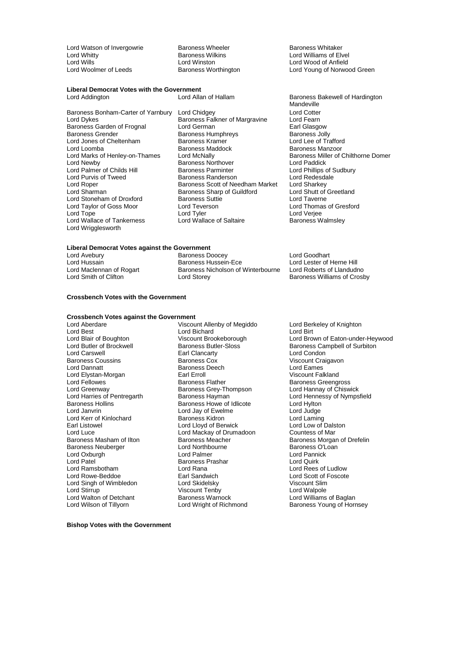Lord Watson of Invergowrie **Baroness Wheeler** Baroness Wheeler **Baroness Whitaker** Lord Williams of Elv<br>
Baroness Wilkins **Baroness Wilkins** Lord Williams of Elv Lord Whitty **Lord Williams of Elvel**<br>
Lord Williams of Elvel<br>
Lord Willis **Communist Lord Winston**<br>
Lord Williams Communist Lord Winston Lord Wills **Lord Winston**<br>
Lord Wool of Anfield<br>
Lord Woolmer of Leeds **Baroness Worthington** Lord Young of Norwoo

### **Liberal Democrat Votes with the Government**

extract by the Saroness Garden of Frognal Lord German Lord Communist Carl Glasgow<br>Baroness Grender Baroness Humphreys Baroness Jolly Lord Jones of Cheltenham Baroness Kramer<br>
Baroness Maddock Baroness Manzoor<br>
Baroness Manzoor Lord Loomba<br>
Lord Marks of Henley-on-Thames 
Lord McNally Lord Marks of Henley-on-Thames<br>
Lord McNally Baroness Miller of Chilthorne Domer<br>
Lord Newby Baroness Northover Lord Paddick<br>
Lord Newby Lord Palmer of Childs Hill Baroness Parminter and Burd Phillips of Sudden Phillips of Sudden Baroness Randerson<br>
Baroness Randerson and Lord Redesdale Lord Purvis of Tweed **Baroness Randerson** Lord Redesdale Lord Redesdale Cord Redesdale Baroness Scott of Needham Market Lord Sharkey Lord Roper **Baroness Scott of Needham Market** Lord Sharkey<br>
Lord Sharman **Baroness Sharp of Guildford** Lord Shutt of Greetland Lord Stoneham of Droxford Baroness Suttie **Baroness Suttie Lord Taverne**<br>
Lord Taylor of Goss Moor Lord Teverson **Lord Lord Thomas of Gresford** Lord Taylor of Goss Moor<br>
Lord Tope Lord Tever<br>
Lord Tyler Lord Wallace of Tankerness Lord Wrigglesworth

Baroness Bonham-Carter of Yarnbury Lord Chidgey Lord Cotter **Examples Falkner of Margravine Lord Fearn<br>Lord German Lord Carps Earl Glasgow** Baroness Humphreys **Baroness Jolly**<br>Baroness Kramer **Baroness Humphreys** Lord Lee of Trafford Baroness Northover **Lord Paddick**<br>
Baroness Parminter **Lord Phillips of Sudbury** Baroness Sharp of Guildford Lord Shutt of Graduation Lord Tayerne Lord Tyler<br>
Lord Wallace of Saltaire<br>
Lord Wallace of Saltaire<br>
Contained Baroness Walmsley

### **Liberal Democrat Votes against the Government**

Lord Avebury **Community Community Community** Baroness Doocey **Lord Goodhart**<br>
Baroness Hussein-Ece **Lord Lester of I** Lord Hussain **Baroness Hussein-Ece** Lord Lester of Herne Hill<br>Lord Maclennan of Rogart **Baroness Nicholson of Winterbourne** Lord Roberts of Llandudno Lord Maclennan of Rogart Baroness Nicholson of Winterbourne<br>
Lord Smith of Clifton<br>
Lord Storey

Lord Young of Norwood Green

Baroness Bakewell of Hardington Mandeville

Baroness Williams of Crosby

#### **Crossbench Votes with the Government**

### **Crossbench Votes against the Government**

Lord Best Lord Bichard Lord Birt Lord Carswell **Earl Clancarty**<br> **Baroness Coussins Earl Clancarty** Baroness Coussins **Baroness Cox Exercise Concernent Concernent** Viscount Craigavon<br>
Baroness Deech<br>
Lord Eames Lord Elystan-Morgan Earl Erroll<br>1989 Earl Expedition Baroness Flather Lord Fellowes The Baroness Flather Baroness Greengross<br>
Baroness Grey-Thompson Lord Hannay of Chiswick<br>
Lord Hannay of Chiswick Lord Greenway **Baroness Grey-Thompson**<br> **Lord Harries of Pentregarth** Baroness Hayman Baroness Hollins The Baroness Howe of Idlicote The Lord Hylton<br>
Baroness Howe of Ewelme<br>
Lord Janvrin Lord Judge Lord Kerr of Kinlochard Baroness Kidron Lord Laming Earl Listowel Lord Lloyd of Berwick Lord Low of Dalston Baroness Masham of Ilton Baroness Meacher Baroness Morgan Baroness Morgan of Ilton Baroness Morgan C<br>Baroness Neuberger Carolic Lord Northbourne Caroness Or Danness Or Loan Baroness Neuberger **Example 2** Lord Northbourne **Baroness O'Lord Northbourne** Baroness O'Lord Pannick<br>
Lord Oxburgh **Communist Communist Communist Communist Communist Communist Communist Communist Communist Communist Commu** Lord Oxburgh **Lord Palmer Lord Palmer** Lord Palmer Lord Pannick Lord Pannick Lord Pannic<br>Lord Patel **Rannick Pannick Party Party Party Party Party Party Party Party Party Party Party Party Party Party** Lord Patel The Baroness Prashar<br>
Lord Ramsbotham
Lord Rana Lord Ramsbotham Lord Rana Lord Rana Lord Rees of Ludlow<br>
Lord Rowe-Beddoe **Lord Rana Lord Rana Lord Rowe-Beddoe** Earl Sandwich Lord Cord Scott of Foscote Lord Singh of Wimbledon Lord Skidelsky **Communist Communist Communist Communist Communist Communist Communist Communist Communist Communist Communist Communist Communist Communist Communist Communist Communist Communist Co** Lord Walton of Detchant Baroness Warnock<br>
Lord Wilson of Tillyorn<br>
Lord Wright of Richmond

Lord Aberdare **Viscount Allenby of Megiddo** Lord Berkeley of Knighton<br>
Lord Best **Lord Berkeley of Knighton** Baroness Deech Lord Eames<br>
Earl Erroll Carl Controller Lord Eames<br>
Viscount Falkland Lord Jay of Ewelme Lord Judge<br>
Baroness Kidron Lord Laming Earl Sandwich **Earl Earl Sandwich** Lord Scott of Foscote<br>
Lord Skidelsky **Early Scott Of The Contract Of The Contract of The Contract Of The United Scott** Of The United S Viscount Tenby<br>
Baroness Warnock 
Baroness Warnock

Lord Williams of Baglan

Lord Blair of Boughton Viscount Brookeborough Lord Brown of Eaton-under-Heywood Lord Butler of Brockwell **Baroness Butler-Sloss** Baroness Campbell of Surbiton<br>
Lord Carswell **Baroness Campbell Cancarty**<br>
Earl Clancarty **Baroness Campbell Cancarty** Lord Harries of Pentregarth **Baroness Hayman** Lord Hennessy of Nympsfield<br>Baroness Hollins **Baroness Howe of Idlicote** Lord Hylton Lord Mackay of Drumadoon<br>
Baroness Meacher<br>
Baroness Morgan of Drefelin Baroness Young of Hornsey

**Bishop Votes with the Government**